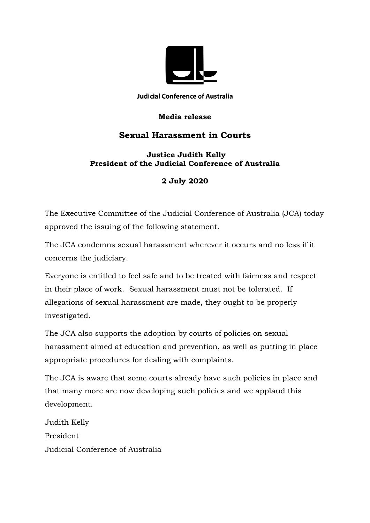

**Judicial Conference of Australia** 

## **Media release**

## **Sexual Harassment in Courts**

## **Justice Judith Kelly President of the Judicial Conference of Australia**

## **2 July 2020**

The Executive Committee of the Judicial Conference of Australia (JCA) today approved the issuing of the following statement.

The JCA condemns sexual harassment wherever it occurs and no less if it concerns the judiciary.

Everyone is entitled to feel safe and to be treated with fairness and respect in their place of work. Sexual harassment must not be tolerated. If allegations of sexual harassment are made, they ought to be properly investigated.

The JCA also supports the adoption by courts of policies on sexual harassment aimed at education and prevention, as well as putting in place appropriate procedures for dealing with complaints.

The JCA is aware that some courts already have such policies in place and that many more are now developing such policies and we applaud this development.

Judith Kelly President Judicial Conference of Australia